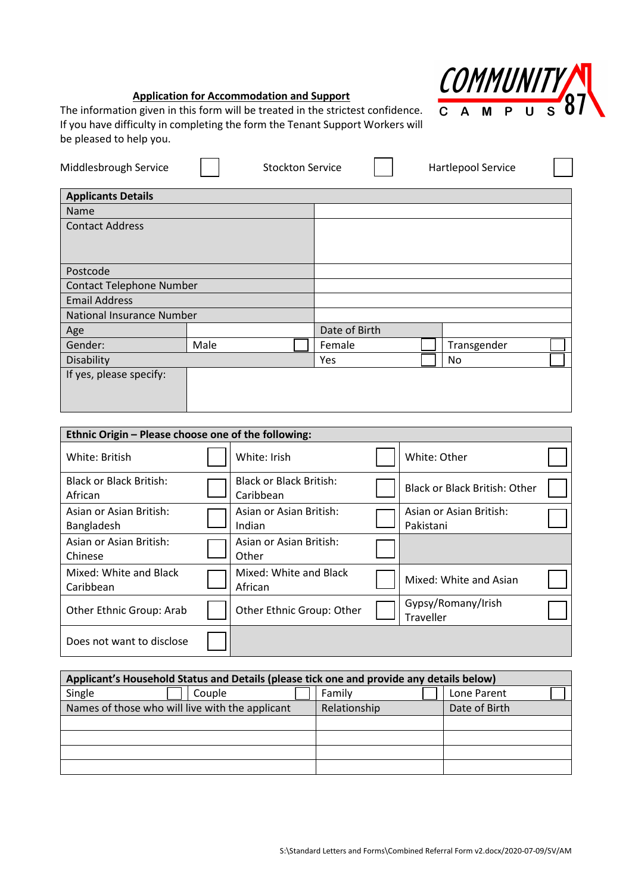

# **Application for Accommodation and Support**

The information given in this form will be treated in the strictest confidence. If you have difficulty in completing the form the Tenant Support Workers will be pleased to help you.

| Middlesbrough Service            |      | <b>Stockton Service</b> |               | Hartlepool Service |  |  |
|----------------------------------|------|-------------------------|---------------|--------------------|--|--|
| <b>Applicants Details</b>        |      |                         |               |                    |  |  |
| <b>Name</b>                      |      |                         |               |                    |  |  |
| <b>Contact Address</b>           |      |                         |               |                    |  |  |
|                                  |      |                         |               |                    |  |  |
|                                  |      |                         |               |                    |  |  |
| Postcode                         |      |                         |               |                    |  |  |
| <b>Contact Telephone Number</b>  |      |                         |               |                    |  |  |
| <b>Email Address</b>             |      |                         |               |                    |  |  |
| <b>National Insurance Number</b> |      |                         |               |                    |  |  |
| Age                              |      |                         | Date of Birth |                    |  |  |
| Gender:                          | Male |                         | Female        | Transgender        |  |  |
| Disability                       |      |                         | <b>Yes</b>    | No.                |  |  |
| If yes, please specify:          |      |                         |               |                    |  |  |
|                                  |      |                         |               |                    |  |  |
|                                  |      |                         |               |                    |  |  |

| Ethnic Origin - Please choose one of the following: |                                             |                                        |  |
|-----------------------------------------------------|---------------------------------------------|----------------------------------------|--|
| White: British                                      | White: Irish                                | White: Other                           |  |
| <b>Black or Black British:</b><br>African           | <b>Black or Black British:</b><br>Caribbean | <b>Black or Black British: Other</b>   |  |
| Asian or Asian British:<br>Bangladesh               | Asian or Asian British:<br>Indian           | Asian or Asian British:<br>Pakistani   |  |
| Asian or Asian British:<br>Chinese                  | Asian or Asian British:<br>Other            |                                        |  |
| Mixed: White and Black<br>Caribbean                 | Mixed: White and Black<br>African           | Mixed: White and Asian                 |  |
| Other Ethnic Group: Arab                            | Other Ethnic Group: Other                   | Gypsy/Romany/Irish<br><b>Traveller</b> |  |
| Does not want to disclose                           |                                             |                                        |  |

| Applicant's Household Status and Details (please tick one and provide any details below) |              |               |  |  |  |  |  |  |
|------------------------------------------------------------------------------------------|--------------|---------------|--|--|--|--|--|--|
| Single<br>Couple                                                                         | Family       | Lone Parent   |  |  |  |  |  |  |
| Names of those who will live with the applicant                                          | Relationship | Date of Birth |  |  |  |  |  |  |
|                                                                                          |              |               |  |  |  |  |  |  |
|                                                                                          |              |               |  |  |  |  |  |  |
|                                                                                          |              |               |  |  |  |  |  |  |
|                                                                                          |              |               |  |  |  |  |  |  |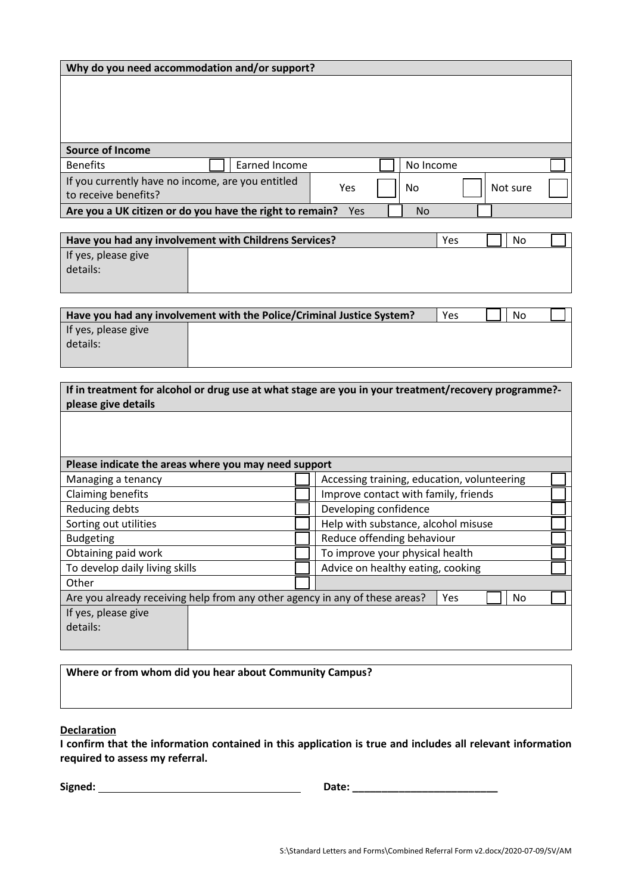|  | Why do you need accommodation and/or support? |
|--|-----------------------------------------------|
|--|-----------------------------------------------|

| <b>Source of Income</b>                                                   |                                                          |     |           |          |  |
|---------------------------------------------------------------------------|----------------------------------------------------------|-----|-----------|----------|--|
| <b>Benefits</b>                                                           | Earned Income                                            |     | No Income |          |  |
| If you currently have no income, are you entitled<br>to receive benefits? |                                                          | Yes | No        | Not sure |  |
|                                                                           | Are you a UK citizen or do you have the right to remain? | Yes | No        |          |  |

| Have you had any involvement with Childrens Services? | Yes | No |  |  |
|-------------------------------------------------------|-----|----|--|--|
| If yes, please give<br>details:                       |     |    |  |  |
|                                                       |     |    |  |  |

|                     | Have you had any involvement with the Police/Criminal Justice System? | Yes | No |  |
|---------------------|-----------------------------------------------------------------------|-----|----|--|
| If yes, please give |                                                                       |     |    |  |
| details:            |                                                                       |     |    |  |
|                     |                                                                       |     |    |  |

| If in treatment for alcohol or drug use at what stage are you in your treatment/recovery programme?-<br>please give details |                                                                                          |  |  |  |  |  |
|-----------------------------------------------------------------------------------------------------------------------------|------------------------------------------------------------------------------------------|--|--|--|--|--|
|                                                                                                                             |                                                                                          |  |  |  |  |  |
|                                                                                                                             |                                                                                          |  |  |  |  |  |
|                                                                                                                             | Please indicate the areas where you may need support                                     |  |  |  |  |  |
|                                                                                                                             | Accessing training, education, volunteering                                              |  |  |  |  |  |
|                                                                                                                             | Improve contact with family, friends                                                     |  |  |  |  |  |
|                                                                                                                             | Developing confidence                                                                    |  |  |  |  |  |
|                                                                                                                             | Help with substance, alcohol misuse                                                      |  |  |  |  |  |
|                                                                                                                             | Reduce offending behaviour                                                               |  |  |  |  |  |
|                                                                                                                             | To improve your physical health                                                          |  |  |  |  |  |
|                                                                                                                             | Advice on healthy eating, cooking                                                        |  |  |  |  |  |
|                                                                                                                             |                                                                                          |  |  |  |  |  |
|                                                                                                                             | Are you already receiving help from any other agency in any of these areas?<br>No<br>Yes |  |  |  |  |  |
|                                                                                                                             |                                                                                          |  |  |  |  |  |
|                                                                                                                             |                                                                                          |  |  |  |  |  |

**Where or from whom did you hear about Community Campus?** 

## **Declaration**

**I confirm that the information contained in this application is true and includes all relevant information required to assess my referral.**

**Signed: Date: \_\_\_\_\_\_\_\_\_\_\_\_\_\_\_\_\_\_\_\_\_\_\_\_\_**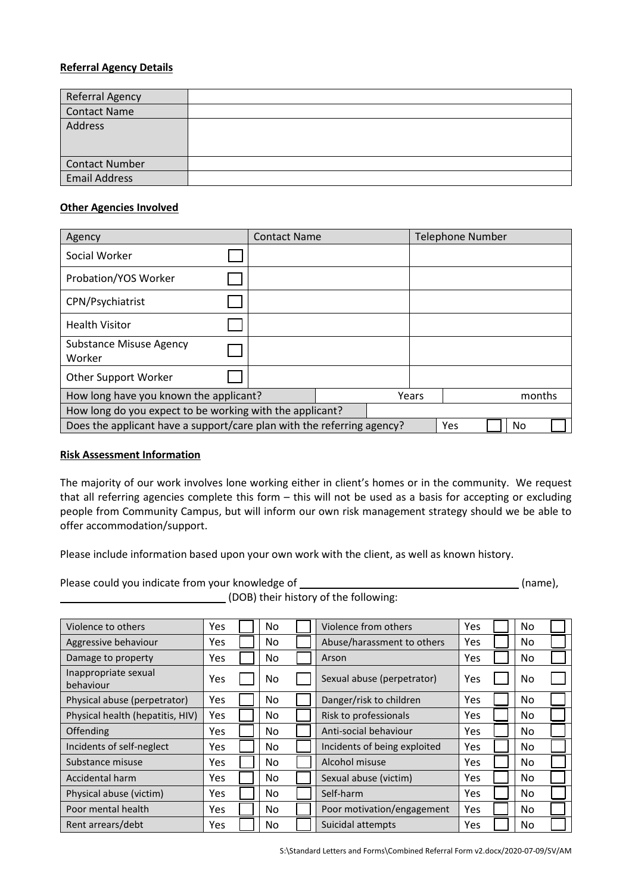# **Referral Agency Details**

| <b>Referral Agency</b> |  |
|------------------------|--|
| <b>Contact Name</b>    |  |
| Address                |  |
| <b>Contact Number</b>  |  |
| <b>Email Address</b>   |  |

# **Other Agencies Involved**

| Agency                                                                 | <b>Contact Name</b> |  |     |       |    | <b>Telephone Number</b> |  |        |
|------------------------------------------------------------------------|---------------------|--|-----|-------|----|-------------------------|--|--------|
| Social Worker                                                          |                     |  |     |       |    |                         |  |        |
| Probation/YOS Worker                                                   |                     |  |     |       |    |                         |  |        |
| CPN/Psychiatrist                                                       |                     |  |     |       |    |                         |  |        |
| <b>Health Visitor</b>                                                  |                     |  |     |       |    |                         |  |        |
| <b>Substance Misuse Agency</b><br>Worker                               |                     |  |     |       |    |                         |  |        |
| <b>Other Support Worker</b>                                            |                     |  |     |       |    |                         |  |        |
| How long have you known the applicant?                                 |                     |  |     | Years |    |                         |  | months |
| How long do you expect to be working with the applicant?               |                     |  |     |       |    |                         |  |        |
| Does the applicant have a support/care plan with the referring agency? |                     |  | Yes |       | No |                         |  |        |

## **Risk Assessment Information**

The majority of our work involves lone working either in client's homes or in the community. We request that all referring agencies complete this form – this will not be used as a basis for accepting or excluding people from Community Campus, but will inform our own risk management strategy should we be able to offer accommodation/support.

Please include information based upon your own work with the client, as well as known history.

Please could you indicate from your knowledge of (name),

(DOB) their history of the following:

| Violence to others                | Yes  | No. | Violence from others         | Yes | No. |  |
|-----------------------------------|------|-----|------------------------------|-----|-----|--|
| Aggressive behaviour              | Yes  | No. | Abuse/harassment to others   | Yes | No  |  |
| Damage to property                | Yes  | No. | Arson                        | Yes | No. |  |
| Inappropriate sexual<br>behaviour | Yes  | No  | Sexual abuse (perpetrator)   | Yes | No  |  |
| Physical abuse (perpetrator)      | Yes  | No. | Danger/risk to children      | Yes | No. |  |
| Physical health (hepatitis, HIV)  | Yes  | No. | Risk to professionals        | Yes | No. |  |
| Offending                         | Yes  | No. | Anti-social behaviour        | Yes | No. |  |
| Incidents of self-neglect         | Yes  | No. | Incidents of being exploited | Yes | No  |  |
| Substance misuse                  | Yes  | No  | Alcohol misuse               | Yes | No  |  |
| Accidental harm                   | Yes  | No. | Sexual abuse (victim)        | Yes | No  |  |
| Physical abuse (victim)           | Yes  | No. | Self-harm                    | Yes | No  |  |
| Poor mental health                | Yes. | No. | Poor motivation/engagement   | Yes | No. |  |
| Rent arrears/debt                 | Yes  | No  | Suicidal attempts            | Yes | No. |  |